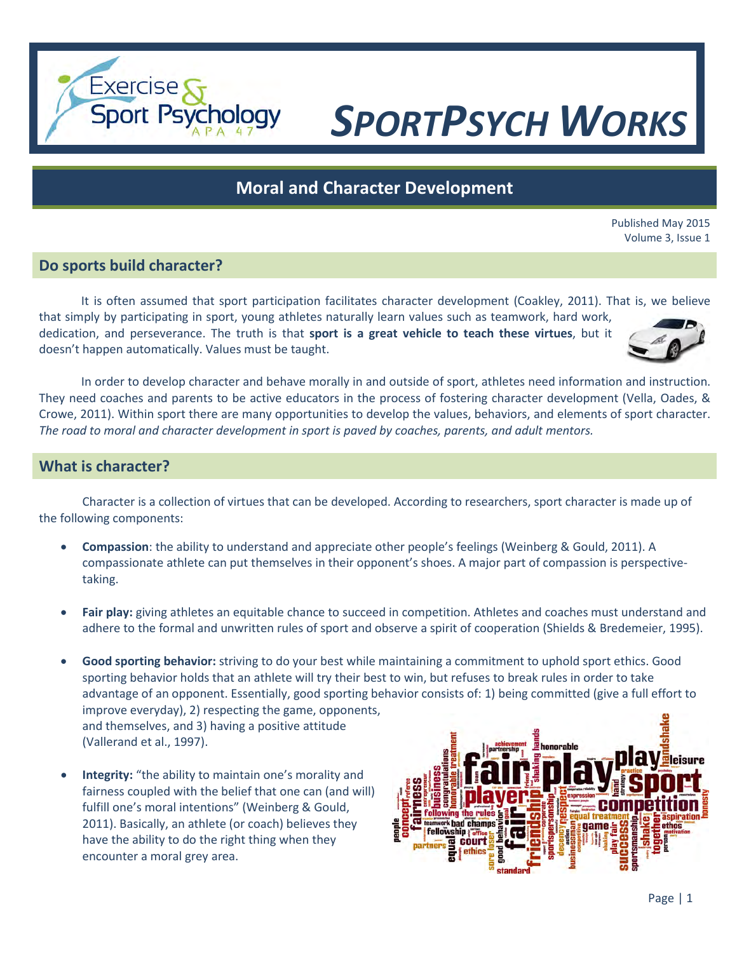# *SPORTPSYCH WORKS*

# **Moral and Character Development**

Published May 2015 Volume 3, Issue 1

### **Do sports build character?**

**Exercise** 

**Sport Psychology** 

It is often assumed that sport participation facilitates character development (Coakley, 2011). That is, we believe that simply by participating in sport, young athletes naturally learn values such as teamwork, hard work, dedication, and perseverance. The truth is that **sport is a great vehicle to teach these virtues**, but it doesn't happen automatically. Values must be taught.

In order to develop character and behave morally in and outside of sport, athletes need information and instruction. They need coaches and parents to be active educators in the process of fostering character development (Vella, Oades, & Crowe, 2011). Within sport there are many opportunities to develop the values, behaviors, and elements of sport character. *The road to moral and character development in sport is paved by coaches, parents, and adult mentors.*

#### **What is character?**

Character is a collection of virtues that can be developed. According to researchers, sport character is made up of the following components:

- **Compassion**: the ability to understand and appreciate other people's feelings (Weinberg & Gould, 2011). A compassionate athlete can put themselves in their opponent's shoes. A major part of compassion is perspectivetaking.
- **Fair play:** giving athletes an equitable chance to succeed in competition. Athletes and coaches must understand and adhere to the formal and unwritten rules of sport and observe a spirit of cooperation (Shields & Bredemeier, 1995).
- **Good sporting behavior:** striving to do your best while maintaining a commitment to uphold sport ethics. Good sporting behavior holds that an athlete will try their best to win, but refuses to break rules in order to take advantage of an opponent. Essentially, good sporting behavior consists of: 1) being committed (give a full effort to improve everyday), 2) respecting the game, opponents, and themselves, and 3) having a positive attitude (Vallerand et al., 1997).
- **Integrity:** "the ability to maintain one's morality and fairness coupled with the belief that one can (and will) fulfill one's moral intentions" (Weinberg & Gould, 2011). Basically, an athlete (or coach) believes they have the ability to do the right thing when they encounter a moral grey area.